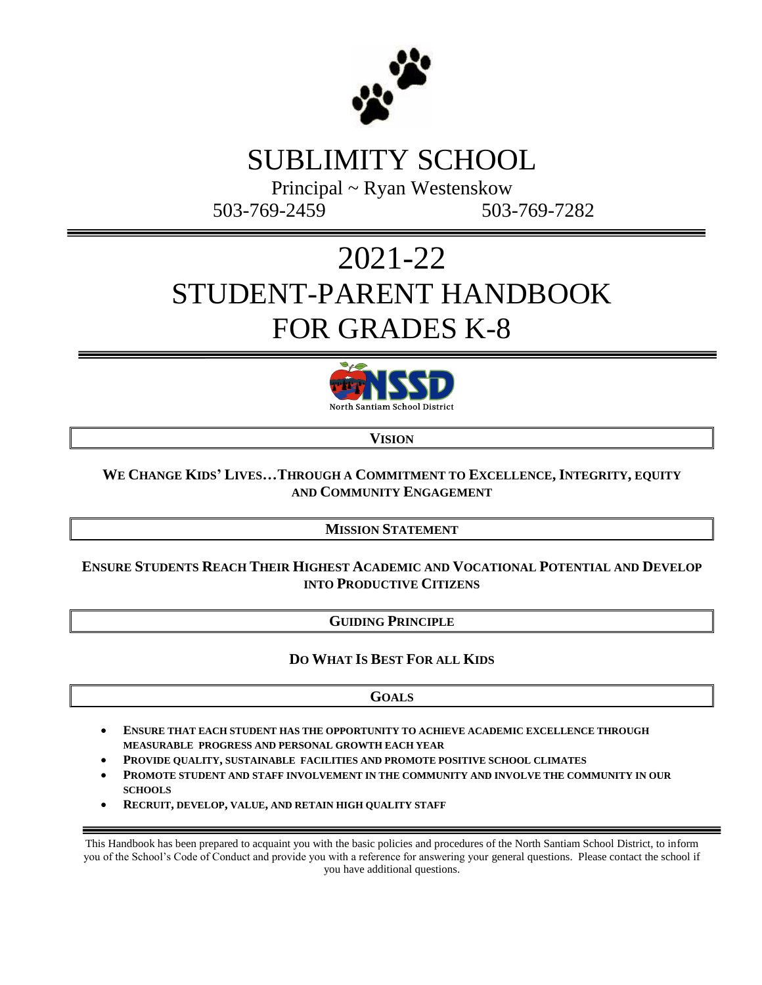

### SUBLIMITY SCHOOL

Principal ~ Ryan Westenskow 503-769-2459 503-769-7282

## 2021-22 STUDENT-PARENT HANDBOOK FOR GRADES K-8



**VISION**

#### **WE CHANGE KIDS' LIVES…THROUGH A COMMITMENT TO EXCELLENCE, INTEGRITY, EQUITY AND COMMUNITY ENGAGEMENT**

**MISSION STATEMENT**

#### **ENSURE STUDENTS REACH THEIR HIGHEST ACADEMIC AND VOCATIONAL POTENTIAL AND DEVELOP INTO PRODUCTIVE CITIZENS**

#### **GUIDING PRINCIPLE**

#### **DO WHAT IS BEST FOR ALL KIDS**

#### **GOALS**

- **ENSURE THAT EACH STUDENT HAS THE OPPORTUNITY TO ACHIEVE ACADEMIC EXCELLENCE THROUGH MEASURABLE PROGRESS AND PERSONAL GROWTH EACH YEAR**
- **PROVIDE QUALITY, SUSTAINABLE FACILITIES AND PROMOTE POSITIVE SCHOOL CLIMATES**
- **PROMOTE STUDENT AND STAFF INVOLVEMENT IN THE COMMUNITY AND INVOLVE THE COMMUNITY IN OUR SCHOOLS**
- **RECRUIT, DEVELOP, VALUE, AND RETAIN HIGH QUALITY STAFF**

This Handbook has been prepared to acquaint you with the basic policies and procedures of the North Santiam School District, to inform you of the School's Code of Conduct and provide you with a reference for answering your general questions. Please contact the school if you have additional questions.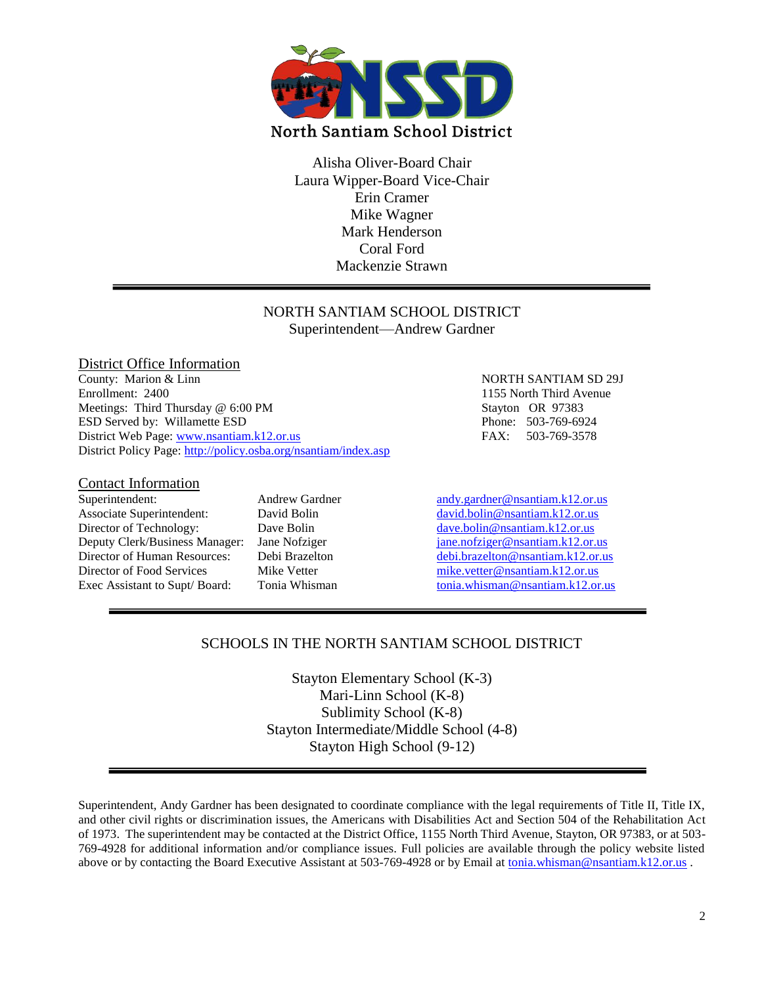

Alisha Oliver-Board Chair Laura Wipper-Board Vice-Chair Erin Cramer Mike Wagner Mark Henderson Coral Ford Mackenzie Strawn

#### NORTH SANTIAM SCHOOL DISTRICT Superintendent—Andrew Gardner

#### District Office Information<br>County: Marion & Linn Enrollment: 2400 1155 North Third Avenue Meetings: Third Thursday @ 6:00 PM Stayton OR 97383 ESD Served by: Willamette ESD Phone: 503-769-6924 District Web Page: [www.nsantiam.k12.or.us](http://www.nsantiam.k12.or.us/) FAX: 503-769-3578 District Policy Page:<http://policy.osba.org/nsantiam/index.asp>

#### Contact Information

Associate Superintendent: David Bolin [david.bolin@nsantiam.k12.or.us](mailto:david.bolin@nsantiam.k12.or.us) Director of Technology: Dave Bolin [dave.bolin@nsantiam.k12.or.us](mailto:dave.bolin@nsantiam.k12.or.us) Director of Food Services Mike Vetter [mike.vetter@nsantiam.k12.or.us](mailto:mike.vetter@nsantiam.k12.or.us)

# NORTH SANTIAM SD 29J

Superintendent: Andrew Gardner [andy.gardner@nsantiam.k12.or.us](mailto:andy.gardner@nsantiam.k12.or.us) Deputy Clerk/Business Manager: Jane Nofziger [jane.nofziger@nsantiam.k12.or.us](mailto:jane.nofziger@nsantiam.k12.or.us) Director of Human Resources: Debi Brazelton [debi.brazelton@nsantiam.k12.or.us](mailto:debi.brazelton@nsantiam.k12.or.us)<br>Director of Food Services Mike Vetter mike.vetter@nsantiam.k12.or.us Exec Assistant to Supt/Board: Tonia Whisman [tonia.whisman@nsantiam.k12.or.us](mailto:tonia.whisman@nsantiam.k12.or.us)

#### SCHOOLS IN THE NORTH SANTIAM SCHOOL DISTRICT

Stayton Elementary School (K-3) Mari-Linn School (K-8) Sublimity School (K-8) Stayton Intermediate/Middle School (4-8) Stayton High School (9-12)

Superintendent, Andy Gardner has been designated to coordinate compliance with the legal requirements of Title II, Title IX, and other civil rights or discrimination issues, the Americans with Disabilities Act and Section 504 of the Rehabilitation Act of 1973. The superintendent may be contacted at the District Office, 1155 North Third Avenue, Stayton, OR 97383, or at 503- 769-4928 for additional information and/or compliance issues. Full policies are available through the policy website listed above or by contacting the Board Executive Assistant at 503-769-4928 or by Email at [tonia.whisman@nsantiam.k12.or.us](mailto:tonia.whisman@nsantiam.k12.or.us) .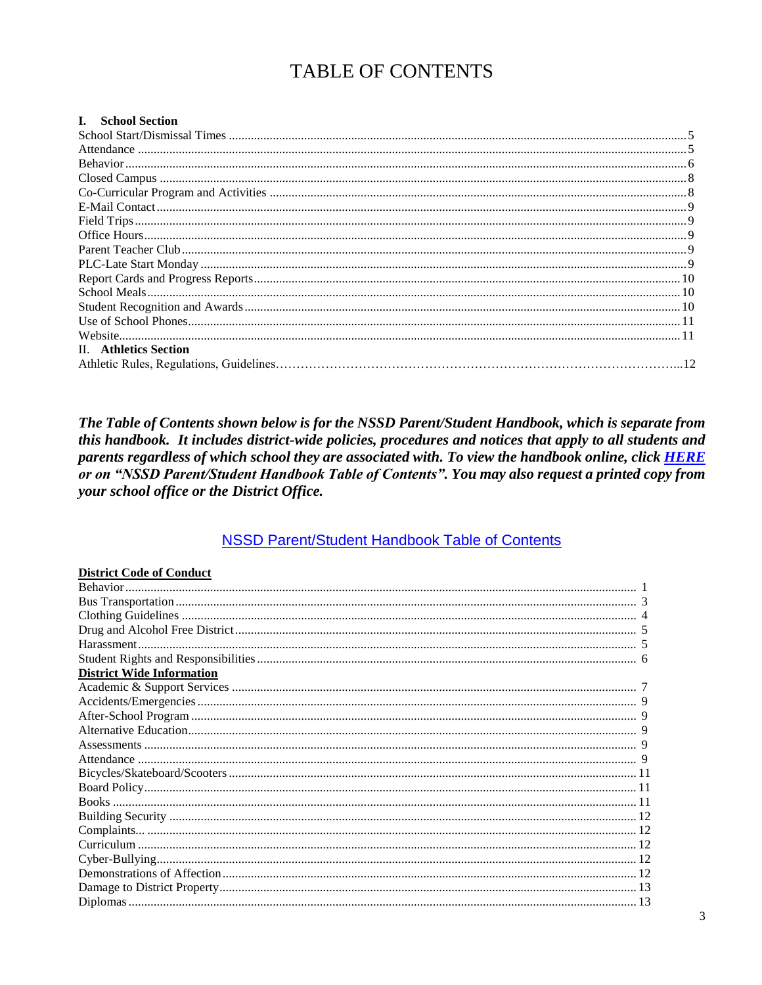#### **TABLE OF CONTENTS**

| I. School Section     |  |
|-----------------------|--|
|                       |  |
|                       |  |
|                       |  |
|                       |  |
|                       |  |
|                       |  |
|                       |  |
|                       |  |
|                       |  |
|                       |  |
|                       |  |
|                       |  |
|                       |  |
|                       |  |
|                       |  |
| II. Athletics Section |  |
|                       |  |

The Table of Contents shown below is for the NSSD Parent/Student Handbook, which is separate from this handbook. It includes district-wide policies, procedures and notices that apply to all students and parents regardless of which school they are associated with. To view the handbook online, click **HERE** or on "NSSD Parent/Student Handbook Table of Contents". You may also request a printed copy from your school office or the District Office.

#### **NSSD Parent/Student Handbook Table of Contents**

| <b>District Code of Conduct</b>  |  |
|----------------------------------|--|
|                                  |  |
|                                  |  |
|                                  |  |
|                                  |  |
|                                  |  |
|                                  |  |
| <b>District Wide Information</b> |  |
|                                  |  |
|                                  |  |
|                                  |  |
|                                  |  |
|                                  |  |
|                                  |  |
|                                  |  |
|                                  |  |
|                                  |  |
|                                  |  |
|                                  |  |
|                                  |  |
|                                  |  |
|                                  |  |
|                                  |  |
|                                  |  |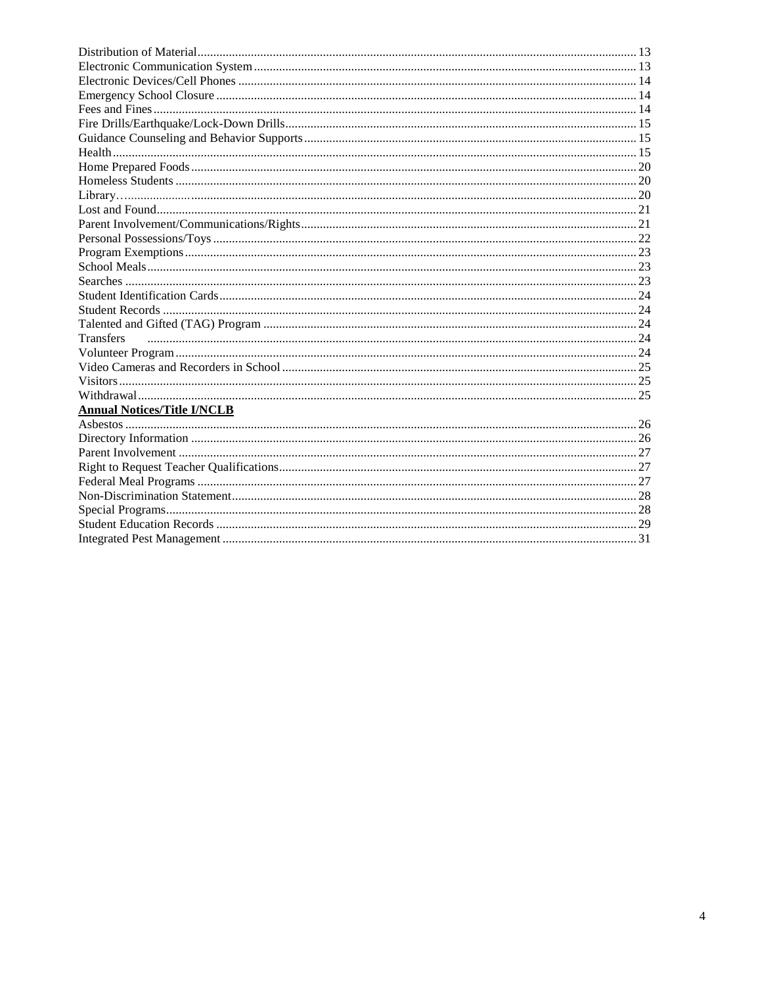| <b>Transfers</b>                   |  |
|------------------------------------|--|
|                                    |  |
|                                    |  |
|                                    |  |
|                                    |  |
| <b>Annual Notices/Title I/NCLB</b> |  |
|                                    |  |
|                                    |  |
|                                    |  |
|                                    |  |
|                                    |  |
|                                    |  |
|                                    |  |
|                                    |  |
|                                    |  |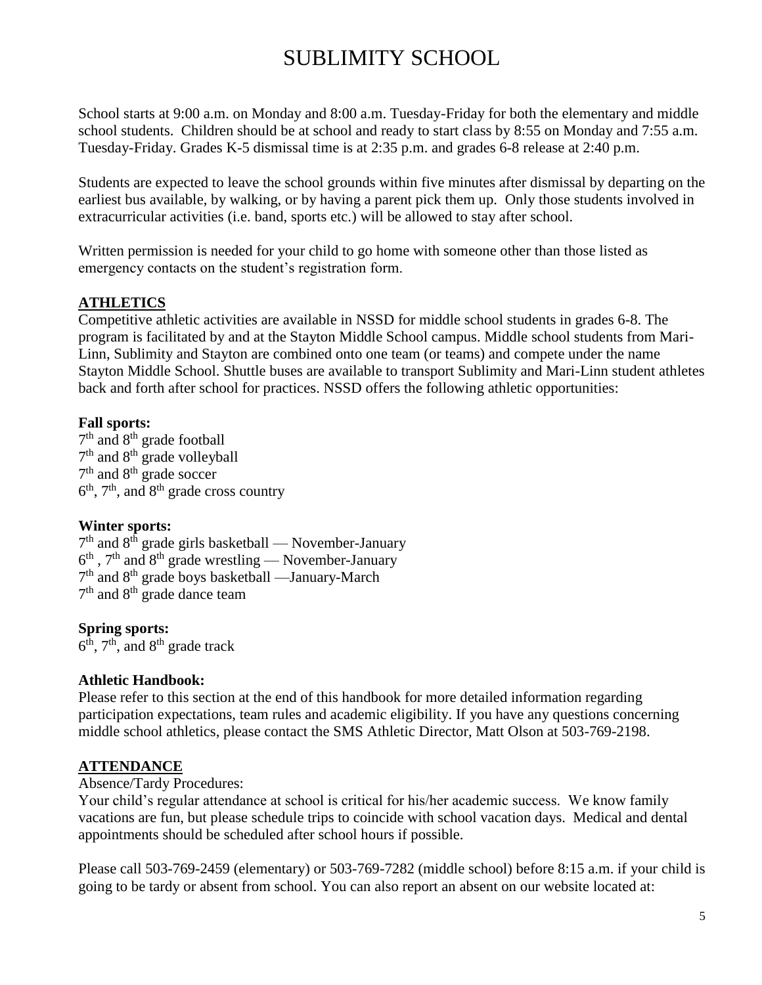### SUBLIMITY SCHOOL

School starts at 9:00 a.m. on Monday and 8:00 a.m. Tuesday-Friday for both the elementary and middle school students. Children should be at school and ready to start class by 8:55 on Monday and 7:55 a.m. Tuesday-Friday. Grades K-5 dismissal time is at 2:35 p.m. and grades 6-8 release at 2:40 p.m.

Students are expected to leave the school grounds within five minutes after dismissal by departing on the earliest bus available, by walking, or by having a parent pick them up. Only those students involved in extracurricular activities (i.e. band, sports etc.) will be allowed to stay after school.

Written permission is needed for your child to go home with someone other than those listed as emergency contacts on the student's registration form.

#### **ATHLETICS**

Competitive athletic activities are available in NSSD for middle school students in grades 6-8. The program is facilitated by and at the Stayton Middle School campus. Middle school students from Mari-Linn, Sublimity and Stayton are combined onto one team (or teams) and compete under the name Stayton Middle School. Shuttle buses are available to transport Sublimity and Mari-Linn student athletes back and forth after school for practices. NSSD offers the following athletic opportunities:

#### **Fall sports:**

7<sup>th</sup> and 8<sup>th</sup> grade football 7<sup>th</sup> and 8<sup>th</sup> grade volleyball 7<sup>th</sup> and 8<sup>th</sup> grade soccer  $6<sup>th</sup>$ ,  $7<sup>th</sup>$ , and  $8<sup>th</sup>$  grade cross country

#### **Winter sports:**

 $7<sup>th</sup>$  and  $8<sup>th</sup>$  grade girls basketball — November-January  $6<sup>th</sup>$ ,  $7<sup>th</sup>$  and  $8<sup>th</sup>$  grade wrestling — November-January 7<sup>th</sup> and 8<sup>th</sup> grade boys basketball —January-March 7<sup>th</sup> and 8<sup>th</sup> grade dance team

#### **Spring sports:**

 $6^{\overline{th}}$ ,  $7^{\overline{th}}$ , and  $8^{\overline{th}}$  grade track

#### **Athletic Handbook:**

Please refer to this section at the end of this handbook for more detailed information regarding participation expectations, team rules and academic eligibility. If you have any questions concerning middle school athletics, please contact the SMS Athletic Director, Matt Olson at 503-769-2198.

#### **ATTENDANCE**

#### Absence/Tardy Procedures:

Your child's regular attendance at school is critical for his/her academic success. We know family vacations are fun, but please schedule trips to coincide with school vacation days. Medical and dental appointments should be scheduled after school hours if possible.

Please call 503-769-2459 (elementary) or 503-769-7282 (middle school) before 8:15 a.m. if your child is going to be tardy or absent from school. You can also report an absent on our website located at: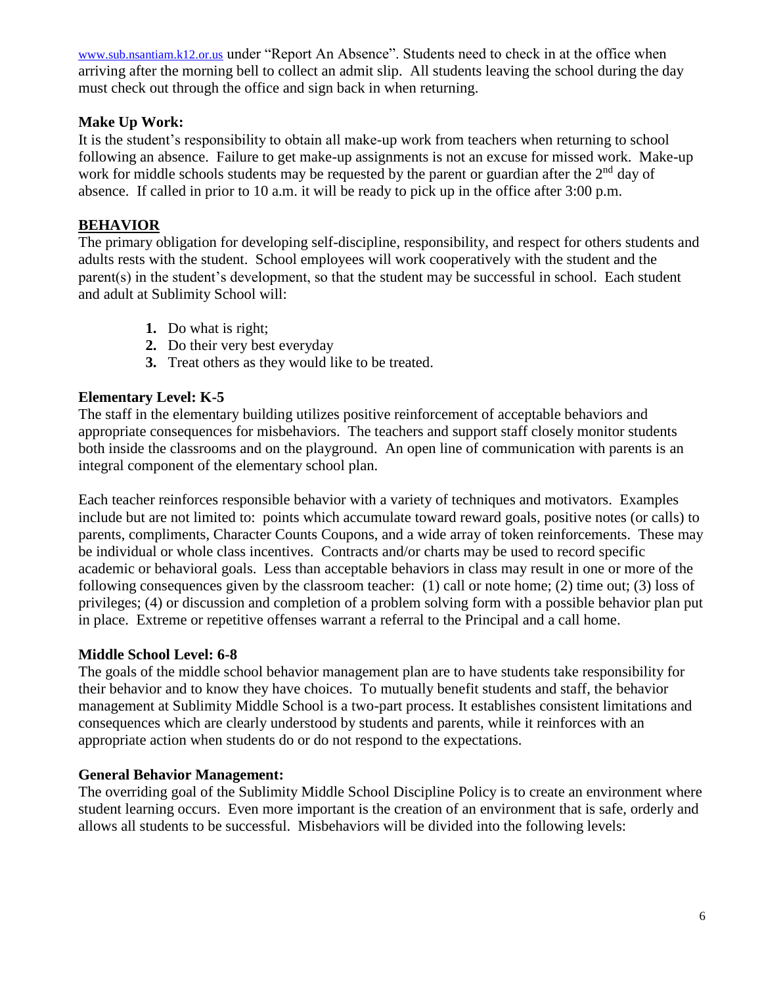[www.sub.nsantiam.k](http://www.sublimityelem.nsantiam.orvsd.org/)12.or.us under "Report An Absence". Students need to check in at the office when arriving after the morning bell to collect an admit slip. All students leaving the school during the day must check out through the office and sign back in when returning.

#### **Make Up Work:**

It is the student's responsibility to obtain all make-up work from teachers when returning to school following an absence. Failure to get make-up assignments is not an excuse for missed work. Make-up work for middle schools students may be requested by the parent or guardian after the  $2<sup>nd</sup>$  day of absence. If called in prior to 10 a.m. it will be ready to pick up in the office after 3:00 p.m.

#### **BEHAVIOR**

The primary obligation for developing self-discipline, responsibility, and respect for others students and adults rests with the student. School employees will work cooperatively with the student and the parent(s) in the student's development, so that the student may be successful in school. Each student and adult at Sublimity School will:

- **1.** Do what is right;
- **2.** Do their very best everyday
- **3.** Treat others as they would like to be treated.

#### **Elementary Level: K-5**

The staff in the elementary building utilizes positive reinforcement of acceptable behaviors and appropriate consequences for misbehaviors. The teachers and support staff closely monitor students both inside the classrooms and on the playground. An open line of communication with parents is an integral component of the elementary school plan.

Each teacher reinforces responsible behavior with a variety of techniques and motivators. Examples include but are not limited to: points which accumulate toward reward goals, positive notes (or calls) to parents, compliments, Character Counts Coupons, and a wide array of token reinforcements. These may be individual or whole class incentives. Contracts and/or charts may be used to record specific academic or behavioral goals. Less than acceptable behaviors in class may result in one or more of the following consequences given by the classroom teacher: (1) call or note home; (2) time out; (3) loss of privileges; (4) or discussion and completion of a problem solving form with a possible behavior plan put in place. Extreme or repetitive offenses warrant a referral to the Principal and a call home.

#### **Middle School Level: 6-8**

The goals of the middle school behavior management plan are to have students take responsibility for their behavior and to know they have choices. To mutually benefit students and staff, the behavior management at Sublimity Middle School is a two-part process. It establishes consistent limitations and consequences which are clearly understood by students and parents, while it reinforces with an appropriate action when students do or do not respond to the expectations.

#### **General Behavior Management:**

The overriding goal of the Sublimity Middle School Discipline Policy is to create an environment where student learning occurs. Even more important is the creation of an environment that is safe, orderly and allows all students to be successful. Misbehaviors will be divided into the following levels: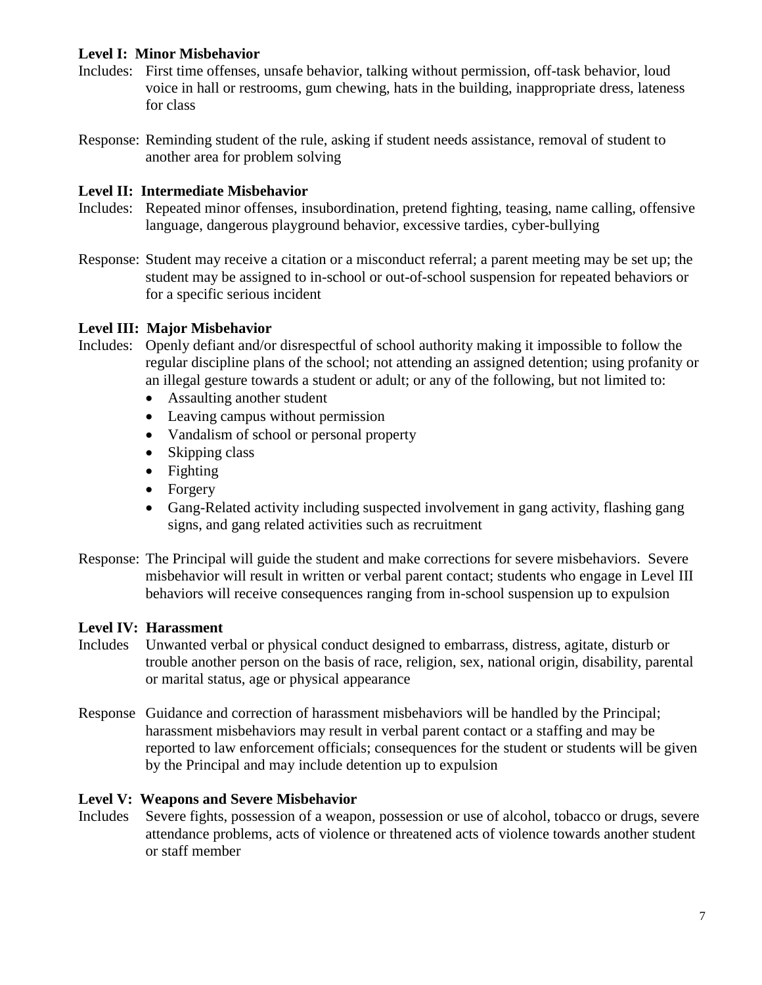#### **Level I: Minor Misbehavior**

- Includes: First time offenses, unsafe behavior, talking without permission, off-task behavior, loud voice in hall or restrooms, gum chewing, hats in the building, inappropriate dress, lateness for class
- Response: Reminding student of the rule, asking if student needs assistance, removal of student to another area for problem solving

#### **Level II: Intermediate Misbehavior**

- Includes: Repeated minor offenses, insubordination, pretend fighting, teasing, name calling, offensive language, dangerous playground behavior, excessive tardies, cyber-bullying
- Response: Student may receive a citation or a misconduct referral; a parent meeting may be set up; the student may be assigned to in-school or out-of-school suspension for repeated behaviors or for a specific serious incident

#### **Level III: Major Misbehavior**

- Includes: Openly defiant and/or disrespectful of school authority making it impossible to follow the regular discipline plans of the school; not attending an assigned detention; using profanity or an illegal gesture towards a student or adult; or any of the following, but not limited to:
	- Assaulting another student
	- Leaving campus without permission
	- Vandalism of school or personal property
	- Skipping class
	- Fighting
	- Forgery
	- Gang-Related activity including suspected involvement in gang activity, flashing gang signs, and gang related activities such as recruitment
- Response: The Principal will guide the student and make corrections for severe misbehaviors. Severe misbehavior will result in written or verbal parent contact; students who engage in Level III behaviors will receive consequences ranging from in-school suspension up to expulsion

#### **Level IV: Harassment**

- Includes Unwanted verbal or physical conduct designed to embarrass, distress, agitate, disturb or trouble another person on the basis of race, religion, sex, national origin, disability, parental or marital status, age or physical appearance
- Response Guidance and correction of harassment misbehaviors will be handled by the Principal; harassment misbehaviors may result in verbal parent contact or a staffing and may be reported to law enforcement officials; consequences for the student or students will be given by the Principal and may include detention up to expulsion

#### **Level V: Weapons and Severe Misbehavior**

Includes Severe fights, possession of a weapon, possession or use of alcohol, tobacco or drugs, severe attendance problems, acts of violence or threatened acts of violence towards another student or staff member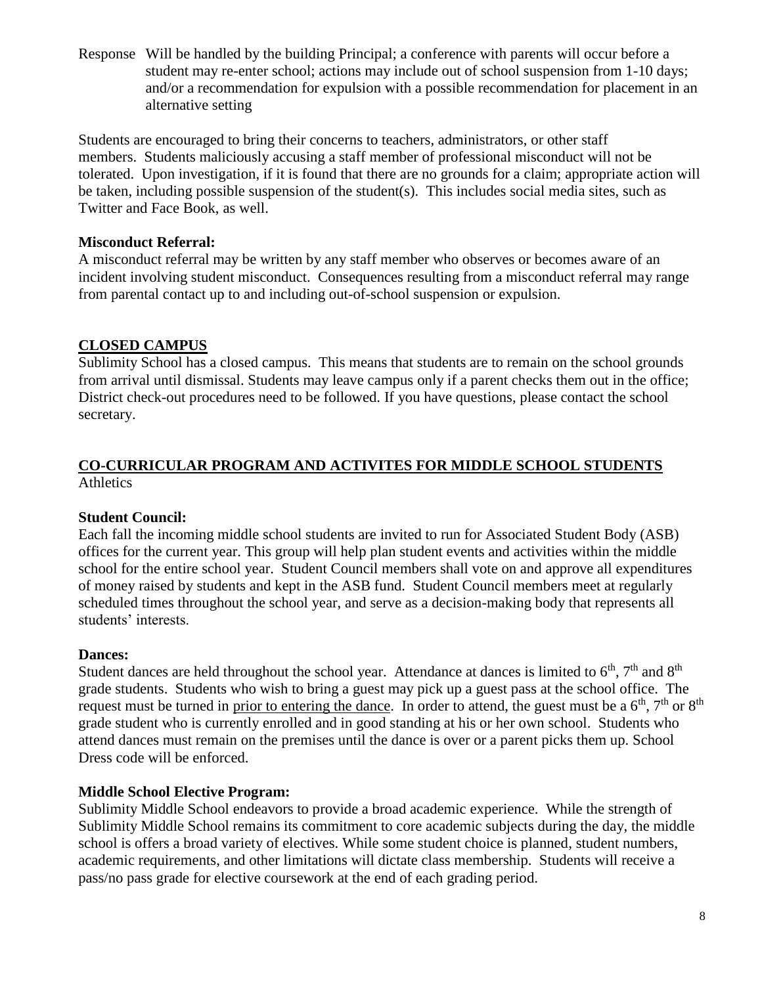Response Will be handled by the building Principal; a conference with parents will occur before a student may re-enter school; actions may include out of school suspension from 1-10 days; and/or a recommendation for expulsion with a possible recommendation for placement in an alternative setting

Students are encouraged to bring their concerns to teachers, administrators, or other staff members. Students maliciously accusing a staff member of professional misconduct will not be tolerated. Upon investigation, if it is found that there are no grounds for a claim; appropriate action will be taken, including possible suspension of the student(s). This includes social media sites, such as Twitter and Face Book, as well.

#### **Misconduct Referral:**

A misconduct referral may be written by any staff member who observes or becomes aware of an incident involving student misconduct. Consequences resulting from a misconduct referral may range from parental contact up to and including out-of-school suspension or expulsion.

#### **CLOSED CAMPUS**

Sublimity School has a closed campus. This means that students are to remain on the school grounds from arrival until dismissal. Students may leave campus only if a parent checks them out in the office; District check-out procedures need to be followed. If you have questions, please contact the school secretary.

#### **CO-CURRICULAR PROGRAM AND ACTIVITES FOR MIDDLE SCHOOL STUDENTS Athletics**

#### **Student Council:**

Each fall the incoming middle school students are invited to run for Associated Student Body (ASB) offices for the current year. This group will help plan student events and activities within the middle school for the entire school year. Student Council members shall vote on and approve all expenditures of money raised by students and kept in the ASB fund. Student Council members meet at regularly scheduled times throughout the school year, and serve as a decision-making body that represents all students' interests.

#### **Dances:**

Student dances are held throughout the school year. Attendance at dances is limited to  $6<sup>th</sup>$ ,  $7<sup>th</sup>$  and  $8<sup>th</sup>$ grade students. Students who wish to bring a guest may pick up a guest pass at the school office. The request must be turned in prior to entering the dance. In order to attend, the guest must be a  $6<sup>th</sup>$ ,  $7<sup>th</sup>$  or  $8<sup>th</sup>$ grade student who is currently enrolled and in good standing at his or her own school. Students who attend dances must remain on the premises until the dance is over or a parent picks them up. School Dress code will be enforced.

#### **Middle School Elective Program:**

Sublimity Middle School endeavors to provide a broad academic experience. While the strength of Sublimity Middle School remains its commitment to core academic subjects during the day, the middle school is offers a broad variety of electives. While some student choice is planned, student numbers, academic requirements, and other limitations will dictate class membership. Students will receive a pass/no pass grade for elective coursework at the end of each grading period.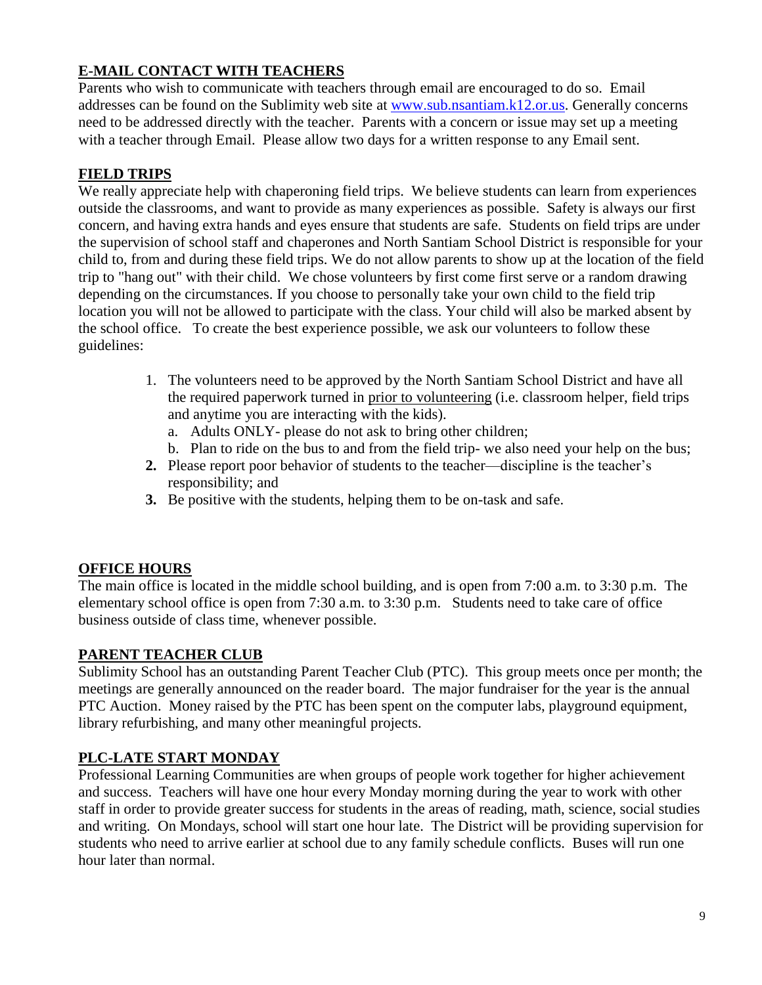#### **E-MAIL CONTACT WITH TEACHERS**

Parents who wish to communicate with teachers through email are encouraged to do so. Email addresses can be found on the Sublimity web site at [www.sub.nsantiam.k](http://www.sub.nsantiam./)12.or.us. Generally concerns need to be addressed directly with the teacher. Parents with a concern or issue may set up a meeting with a teacher through Email. Please allow two days for a written response to any Email sent.

#### **FIELD TRIPS**

We really appreciate help with chaperoning field trips. We believe students can learn from experiences outside the classrooms, and want to provide as many experiences as possible. Safety is always our first concern, and having extra hands and eyes ensure that students are safe. Students on field trips are under the supervision of school staff and chaperones and North Santiam School District is responsible for your child to, from and during these field trips. We do not allow parents to show up at the location of the field trip to "hang out" with their child. We chose volunteers by first come first serve or a random drawing depending on the circumstances. If you choose to personally take your own child to the field trip location you will not be allowed to participate with the class. Your child will also be marked absent by the school office. To create the best experience possible, we ask our volunteers to follow these guidelines:

- 1. The volunteers need to be approved by the North Santiam School District and have all the required paperwork turned in prior to volunteering (i.e. classroom helper, field trips and anytime you are interacting with the kids).
	- a. Adults ONLY- please do not ask to bring other children;
	- b. Plan to ride on the bus to and from the field trip- we also need your help on the bus;
- **2.** Please report poor behavior of students to the teacher—discipline is the teacher's responsibility; and
- **3.** Be positive with the students, helping them to be on-task and safe.

#### **OFFICE HOURS**

The main office is located in the middle school building, and is open from 7:00 a.m. to 3:30 p.m. The elementary school office is open from 7:30 a.m. to 3:30 p.m. Students need to take care of office business outside of class time, whenever possible.

#### **PARENT TEACHER CLUB**

Sublimity School has an outstanding Parent Teacher Club (PTC). This group meets once per month; the meetings are generally announced on the reader board. The major fundraiser for the year is the annual PTC Auction. Money raised by the PTC has been spent on the computer labs, playground equipment, library refurbishing, and many other meaningful projects.

#### **PLC-LATE START MONDAY**

Professional Learning Communities are when groups of people work together for higher achievement and success. Teachers will have one hour every Monday morning during the year to work with other staff in order to provide greater success for students in the areas of reading, math, science, social studies and writing. On Mondays, school will start one hour late. The District will be providing supervision for students who need to arrive earlier at school due to any family schedule conflicts. Buses will run one hour later than normal.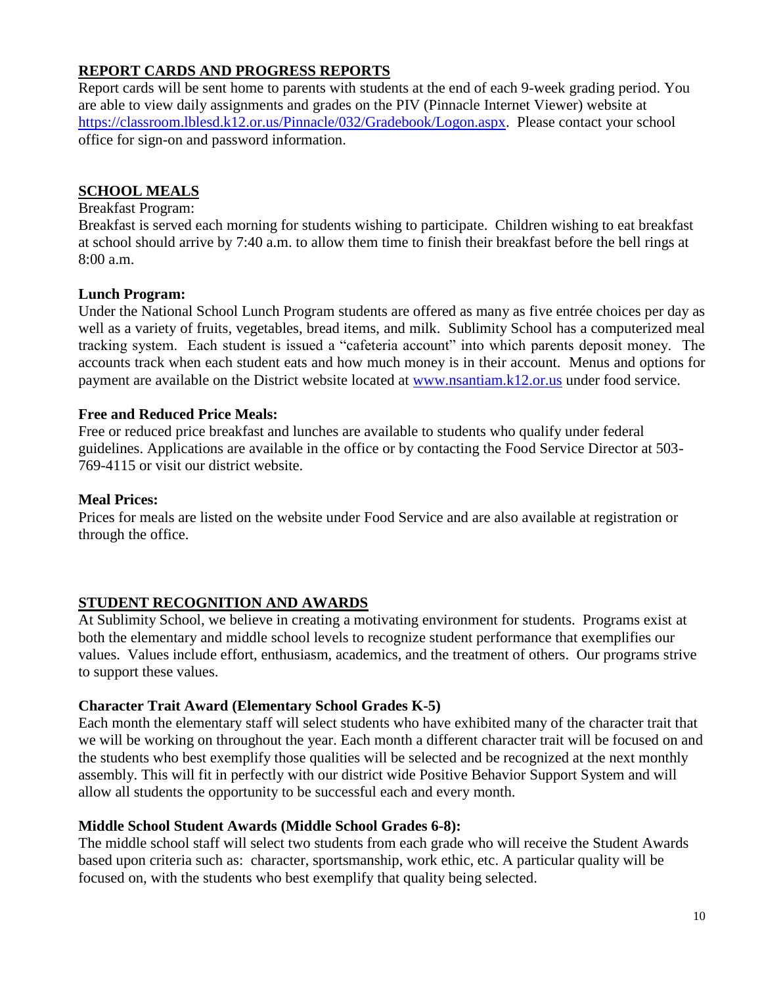#### **REPORT CARDS AND PROGRESS REPORTS**

Report cards will be sent home to parents with students at the end of each 9-week grading period. You are able to view daily assignments and grades on the PIV (Pinnacle Internet Viewer) website at [https://classroom.lblesd.k12.or.us/Pinnacle/032/Gradebook/Logon.aspx.](https://classroom.lblesd.k12.or.us/Pinnacle/032/Gradebook/Logon.aspx) Please contact your school office for sign-on and password information.

#### **SCHOOL MEALS**

#### Breakfast Program:

Breakfast is served each morning for students wishing to participate. Children wishing to eat breakfast at school should arrive by 7:40 a.m. to allow them time to finish their breakfast before the bell rings at 8:00 a.m.

#### **Lunch Program:**

Under the National School Lunch Program students are offered as many as five entrée choices per day as well as a variety of fruits, vegetables, bread items, and milk. Sublimity School has a computerized meal tracking system. Each student is issued a "cafeteria account" into which parents deposit money. The accounts track when each student eats and how much money is in their account. Menus and options for payment are available on the District website located at [www.nsantiam.k12.or.us](http://www.nsantiam.k12.or.us/) under food service.

#### **Free and Reduced Price Meals:**

Free or reduced price breakfast and lunches are available to students who qualify under federal guidelines. Applications are available in the office or by contacting the Food Service Director at 503- 769-4115 or visit our district website.

#### **Meal Prices:**

Prices for meals are listed on the website under Food Service and are also available at registration or through the office.

#### **STUDENT RECOGNITION AND AWARDS**

At Sublimity School, we believe in creating a motivating environment for students. Programs exist at both the elementary and middle school levels to recognize student performance that exemplifies our values. Values include effort, enthusiasm, academics, and the treatment of others. Our programs strive to support these values.

#### **Character Trait Award (Elementary School Grades K-5)**

Each month the elementary staff will select students who have exhibited many of the character trait that we will be working on throughout the year. Each month a different character trait will be focused on and the students who best exemplify those qualities will be selected and be recognized at the next monthly assembly. This will fit in perfectly with our district wide Positive Behavior Support System and will allow all students the opportunity to be successful each and every month.

#### **Middle School Student Awards (Middle School Grades 6-8):**

The middle school staff will select two students from each grade who will receive the Student Awards based upon criteria such as: character, sportsmanship, work ethic, etc. A particular quality will be focused on, with the students who best exemplify that quality being selected.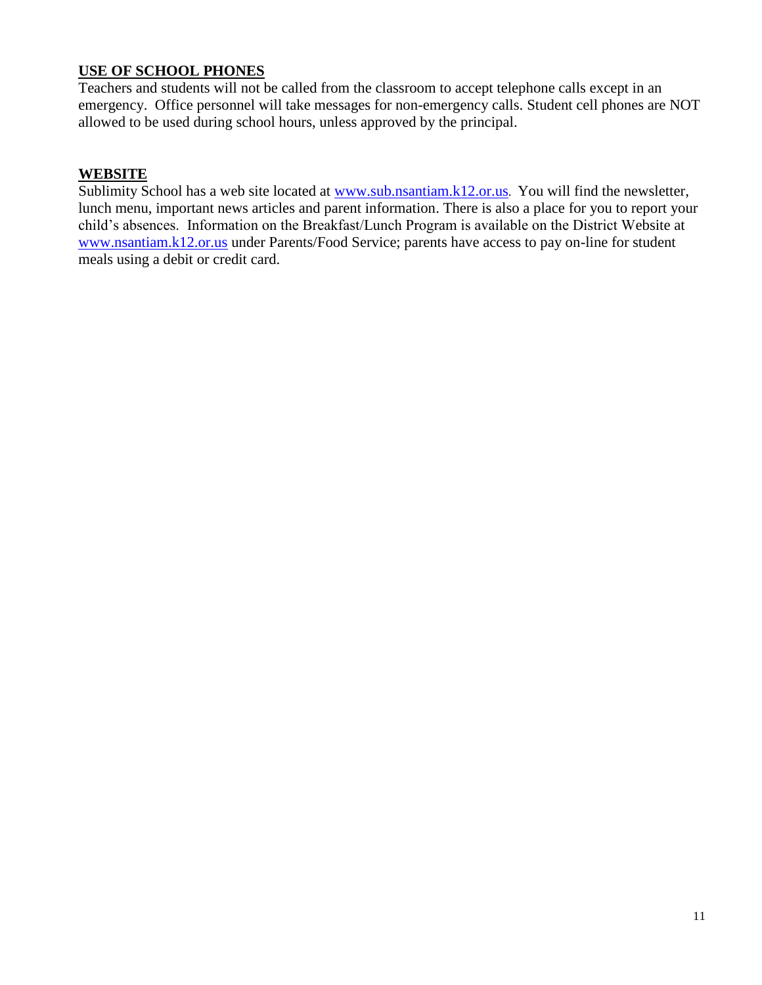#### **USE OF SCHOOL PHONES**

Teachers and students will not be called from the classroom to accept telephone calls except in an emergency. Office personnel will take messages for non-emergency calls. Student cell phones are NOT allowed to be used during school hours, unless approved by the principal.

#### **WEBSITE**

Sublimity School has a web site located at [www.sub.nsantiam.k](http://www.sub.nsantiam./)12.or.us. You will find the newsletter, lunch menu, important news articles and parent information. There is also a place for you to report your child's absences. Information on the Breakfast/Lunch Program is available on the District Website at [www.nsantiam.k](http://www.nsantiam./)12.or.us under Parents/Food Service; parents have access to pay on-line for student meals using a debit or credit card.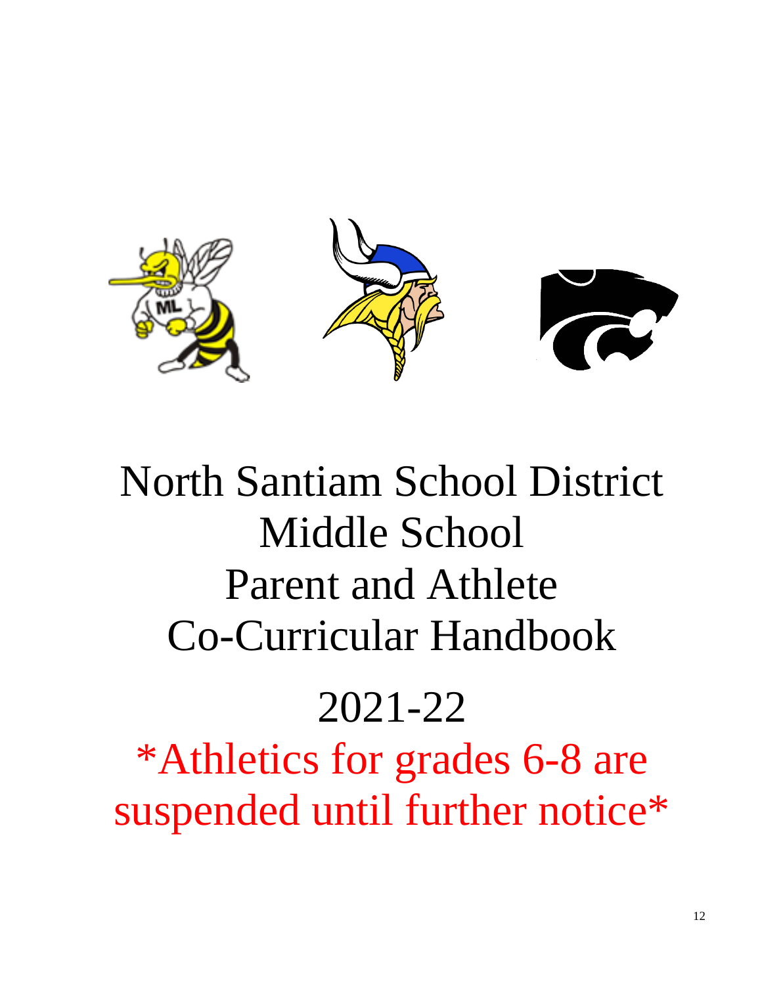

# North Santiam School District Middle School Parent and Athlete Co-Curricular Handbook

# 2021-22

\*Athletics for grades 6-8 are suspended until further notice\*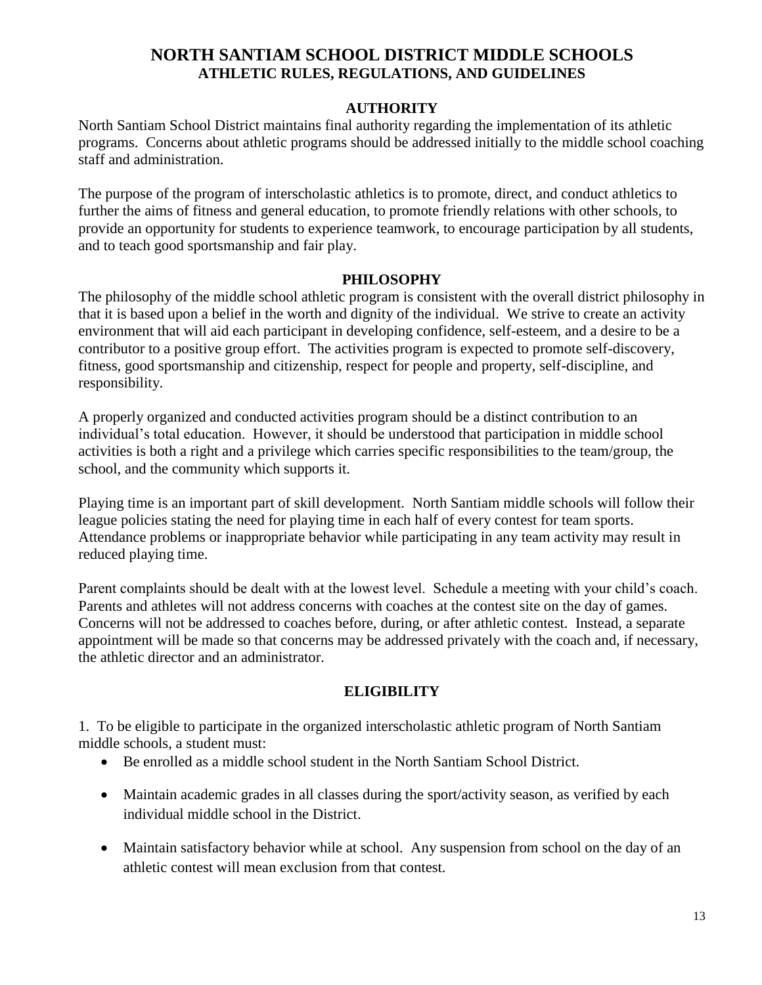#### **NORTH SANTIAM SCHOOL DISTRICT MIDDLE SCHOOLS ATHLETIC RULES, REGULATIONS, AND GUIDELINES**

#### **AUTHORITY**

North Santiam School District maintains final authority regarding the implementation of its athletic programs. Concerns about athletic programs should be addressed initially to the middle school coaching staff and administration.

The purpose of the program of interscholastic athletics is to promote, direct, and conduct athletics to further the aims of fitness and general education, to promote friendly relations with other schools, to provide an opportunity for students to experience teamwork, to encourage participation by all students, and to teach good sportsmanship and fair play.

#### **PHILOSOPHY**

The philosophy of the middle school athletic program is consistent with the overall district philosophy in that it is based upon a belief in the worth and dignity of the individual. We strive to create an activity environment that will aid each participant in developing confidence, self-esteem, and a desire to be a contributor to a positive group effort. The activities program is expected to promote self-discovery, fitness, good sportsmanship and citizenship, respect for people and property, self-discipline, and responsibility.

A properly organized and conducted activities program should be a distinct contribution to an individual's total education. However, it should be understood that participation in middle school activities is both a right and a privilege which carries specific responsibilities to the team/group, the school, and the community which supports it.

Playing time is an important part of skill development. North Santiam middle schools will follow their league policies stating the need for playing time in each half of every contest for team sports. Attendance problems or inappropriate behavior while participating in any team activity may result in reduced playing time.

Parent complaints should be dealt with at the lowest level. Schedule a meeting with your child's coach. Parents and athletes will not address concerns with coaches at the contest site on the day of games. Concerns will not be addressed to coaches before, during, or after athletic contest. Instead, a separate appointment will be made so that concerns may be addressed privately with the coach and, if necessary, the athletic director and an administrator.

#### **ELIGIBILITY**

1. To be eligible to participate in the organized interscholastic athletic program of North Santiam middle schools, a student must:

- Be enrolled as a middle school student in the North Santiam School District.
- Maintain academic grades in all classes during the sport/activity season, as verified by each individual middle school in the District.
- Maintain satisfactory behavior while at school. Any suspension from school on the day of an athletic contest will mean exclusion from that contest.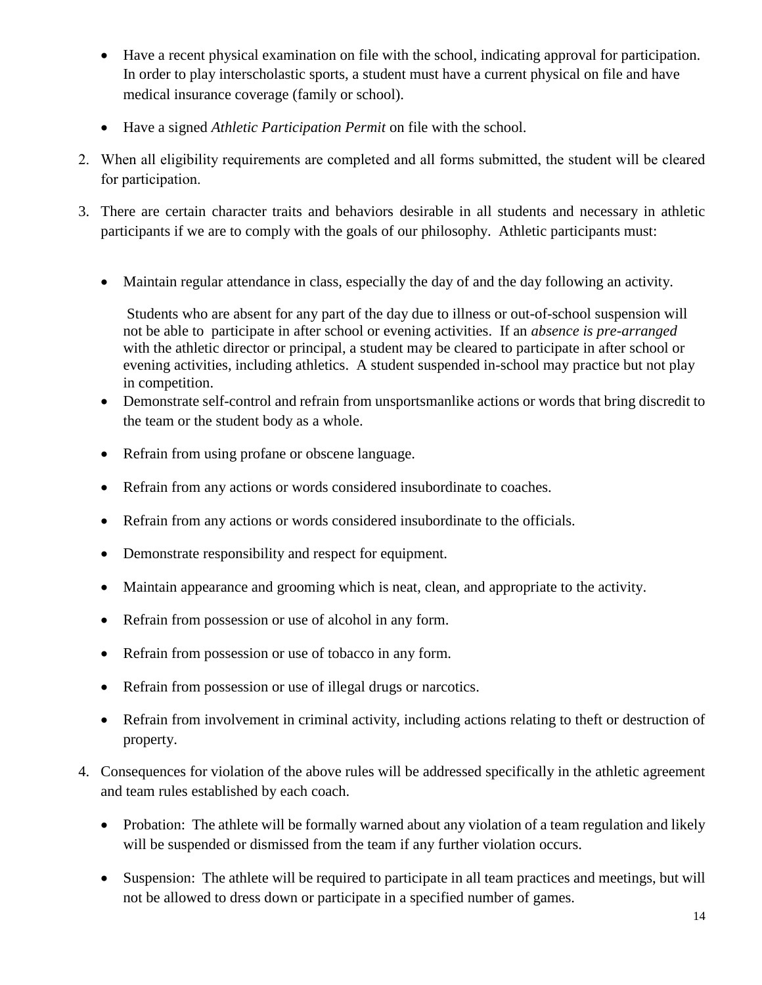- Have a recent physical examination on file with the school, indicating approval for participation. In order to play interscholastic sports, a student must have a current physical on file and have medical insurance coverage (family or school).
- Have a signed *Athletic Participation Permit* on file with the school.
- 2. When all eligibility requirements are completed and all forms submitted, the student will be cleared for participation.
- 3. There are certain character traits and behaviors desirable in all students and necessary in athletic participants if we are to comply with the goals of our philosophy. Athletic participants must:
	- Maintain regular attendance in class, especially the day of and the day following an activity.

Students who are absent for any part of the day due to illness or out-of-school suspension will not be able to participate in after school or evening activities. If an *absence is pre-arranged* with the athletic director or principal, a student may be cleared to participate in after school or evening activities, including athletics. A student suspended in-school may practice but not play in competition.

- Demonstrate self-control and refrain from unsportsmanlike actions or words that bring discredit to the team or the student body as a whole.
- Refrain from using profane or obscene language.
- Refrain from any actions or words considered insubordinate to coaches.
- Refrain from any actions or words considered insubordinate to the officials.
- Demonstrate responsibility and respect for equipment.
- Maintain appearance and grooming which is neat, clean, and appropriate to the activity.
- Refrain from possession or use of alcohol in any form.
- Refrain from possession or use of tobacco in any form.
- Refrain from possession or use of illegal drugs or narcotics.
- Refrain from involvement in criminal activity, including actions relating to theft or destruction of property.
- 4. Consequences for violation of the above rules will be addressed specifically in the athletic agreement and team rules established by each coach.
	- Probation: The athlete will be formally warned about any violation of a team regulation and likely will be suspended or dismissed from the team if any further violation occurs.
	- Suspension: The athlete will be required to participate in all team practices and meetings, but will not be allowed to dress down or participate in a specified number of games.